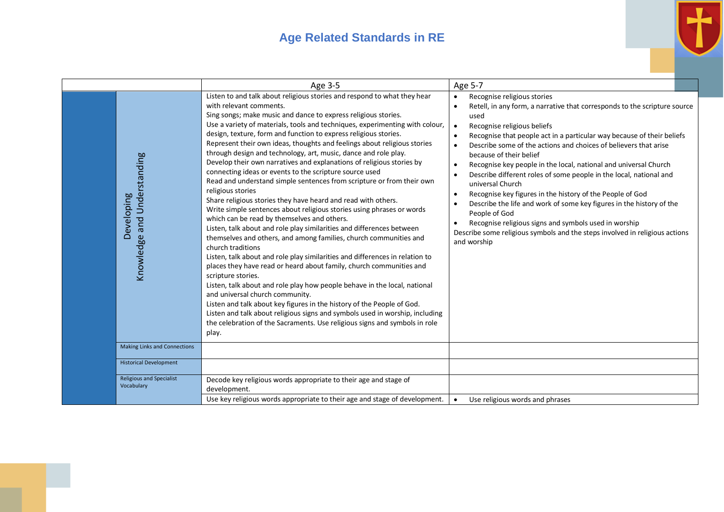## **Age Related Standards in RE**



|                                               | Age 3-5                                                                                                                                                                                                                                                                                                                                                                                                                                                                                                                                                                                                                                                                                                                                                                                                                                                                                                                                                                                                                                                                                                                                                                                                                                                                                                                                                                                                                                                                                                                                                                                                              | Age 5-7                                                                                                                                                                                                                                                                                                                                                                                                                                                                                                                                                                                                                                                                                                                                                                                                                                                                                                     |
|-----------------------------------------------|----------------------------------------------------------------------------------------------------------------------------------------------------------------------------------------------------------------------------------------------------------------------------------------------------------------------------------------------------------------------------------------------------------------------------------------------------------------------------------------------------------------------------------------------------------------------------------------------------------------------------------------------------------------------------------------------------------------------------------------------------------------------------------------------------------------------------------------------------------------------------------------------------------------------------------------------------------------------------------------------------------------------------------------------------------------------------------------------------------------------------------------------------------------------------------------------------------------------------------------------------------------------------------------------------------------------------------------------------------------------------------------------------------------------------------------------------------------------------------------------------------------------------------------------------------------------------------------------------------------------|-------------------------------------------------------------------------------------------------------------------------------------------------------------------------------------------------------------------------------------------------------------------------------------------------------------------------------------------------------------------------------------------------------------------------------------------------------------------------------------------------------------------------------------------------------------------------------------------------------------------------------------------------------------------------------------------------------------------------------------------------------------------------------------------------------------------------------------------------------------------------------------------------------------|
| Knowledge and Understanding<br>eveloping<br>ă | Listen to and talk about religious stories and respond to what they hear<br>with relevant comments.<br>Sing songs; make music and dance to express religious stories.<br>Use a variety of materials, tools and techniques, experimenting with colour,<br>design, texture, form and function to express religious stories.<br>Represent their own ideas, thoughts and feelings about religious stories<br>through design and technology, art, music, dance and role play.<br>Develop their own narratives and explanations of religious stories by<br>connecting ideas or events to the scripture source used<br>Read and understand simple sentences from scripture or from their own<br>religious stories<br>Share religious stories they have heard and read with others.<br>Write simple sentences about religious stories using phrases or words<br>which can be read by themselves and others.<br>Listen, talk about and role play similarities and differences between<br>themselves and others, and among families, church communities and<br>church traditions<br>Listen, talk about and role play similarities and differences in relation to<br>places they have read or heard about family, church communities and<br>scripture stories.<br>Listen, talk about and role play how people behave in the local, national<br>and universal church community.<br>Listen and talk about key figures in the history of the People of God.<br>Listen and talk about religious signs and symbols used in worship, including<br>the celebration of the Sacraments. Use religious signs and symbols in role<br>play. | Recognise religious stories<br>$\bullet$<br>Retell, in any form, a narrative that corresponds to the scripture source<br>$\bullet$<br>used<br>Recognise religious beliefs<br>$\bullet$<br>Recognise that people act in a particular way because of their beliefs<br>Describe some of the actions and choices of believers that arise<br>$\bullet$<br>because of their belief<br>Recognise key people in the local, national and universal Church<br>$\bullet$<br>Describe different roles of some people in the local, national and<br>$\bullet$<br>universal Church<br>Recognise key figures in the history of the People of God<br>$\bullet$<br>Describe the life and work of some key figures in the history of the<br>People of God<br>Recognise religious signs and symbols used in worship<br>$\bullet$<br>Describe some religious symbols and the steps involved in religious actions<br>and worship |
| <b>Making Links and Connections</b>           |                                                                                                                                                                                                                                                                                                                                                                                                                                                                                                                                                                                                                                                                                                                                                                                                                                                                                                                                                                                                                                                                                                                                                                                                                                                                                                                                                                                                                                                                                                                                                                                                                      |                                                                                                                                                                                                                                                                                                                                                                                                                                                                                                                                                                                                                                                                                                                                                                                                                                                                                                             |
| <b>Historical Development</b>                 |                                                                                                                                                                                                                                                                                                                                                                                                                                                                                                                                                                                                                                                                                                                                                                                                                                                                                                                                                                                                                                                                                                                                                                                                                                                                                                                                                                                                                                                                                                                                                                                                                      |                                                                                                                                                                                                                                                                                                                                                                                                                                                                                                                                                                                                                                                                                                                                                                                                                                                                                                             |
| <b>Religious and Specialist</b><br>Vocabulary | Decode key religious words appropriate to their age and stage of<br>development.<br>Use key religious words appropriate to their age and stage of development.                                                                                                                                                                                                                                                                                                                                                                                                                                                                                                                                                                                                                                                                                                                                                                                                                                                                                                                                                                                                                                                                                                                                                                                                                                                                                                                                                                                                                                                       | Use religious words and phrases                                                                                                                                                                                                                                                                                                                                                                                                                                                                                                                                                                                                                                                                                                                                                                                                                                                                             |